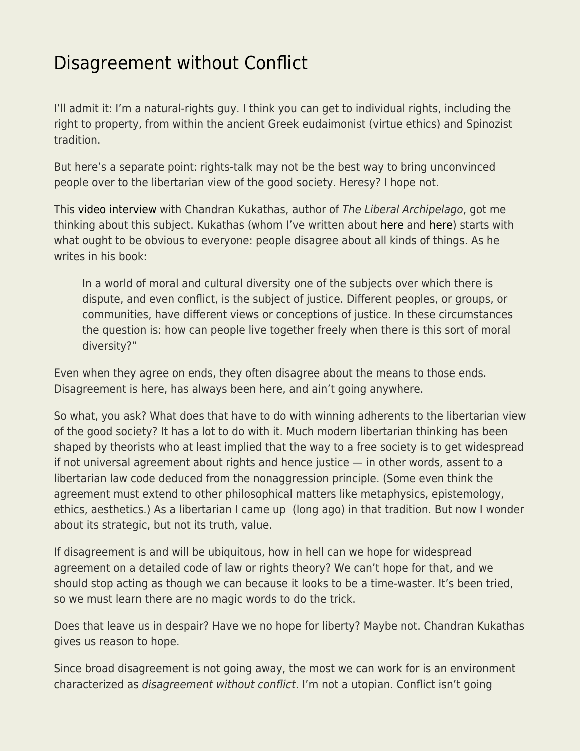## [Disagreement without Conflict](https://everything-voluntary.com/disagreement-without-conflict)

I'll admit it: I'm a natural-rights guy. I think you can get to individual rights, including the right to property, from within the ancient Greek eudaimonist (virtue ethics) and Spinozist tradition.

But here's a separate point: rights-talk may not be the best way to bring unconvinced people over to the libertarian view of the good society. Heresy? I hope not.

This [video interview](https://youtu.be/CuAYJXpcDOk) with Chandran Kukathas, author of The Liberal Archipelago, got me thinking about this subject. Kukathas (whom I've written about [here](https://libertarianinstitute.org/articles/tgif-anti-woke/) and [here](https://libertarianinstitute.org/articles/sheldon/tgif-refreshing-immigration/)) starts with what ought to be obvious to everyone: people disagree about all kinds of things. As he writes in his book:

In a world of moral and cultural diversity one of the subjects over which there is dispute, and even conflict, is the subject of justice. Different peoples, or groups, or communities, have different views or conceptions of justice. In these circumstances the question is: how can people live together freely when there is this sort of moral diversity?"

Even when they agree on ends, they often disagree about the means to those ends. Disagreement is here, has always been here, and ain't going anywhere.

So what, you ask? What does that have to do with winning adherents to the libertarian view of the good society? It has a lot to do with it. Much modern libertarian thinking has been shaped by theorists who at least implied that the way to a free society is to get widespread if not universal agreement about rights and hence justice — in other words, assent to a libertarian law code deduced from the nonaggression principle. (Some even think the agreement must extend to other philosophical matters like metaphysics, epistemology, ethics, aesthetics.) As a libertarian I came up (long ago) in that tradition. But now I wonder about its strategic, but not its truth, value.

If disagreement is and will be ubiquitous, how in hell can we hope for widespread agreement on a detailed code of law or rights theory? We can't hope for that, and we should stop acting as though we can because it looks to be a time-waster. It's been tried, so we must learn there are no magic words to do the trick.

Does that leave us in despair? Have we no hope for liberty? Maybe not. Chandran Kukathas gives us reason to hope.

Since broad disagreement is not going away, the most we can work for is an environment characterized as disagreement without conflict. I'm not a utopian. Conflict isn't going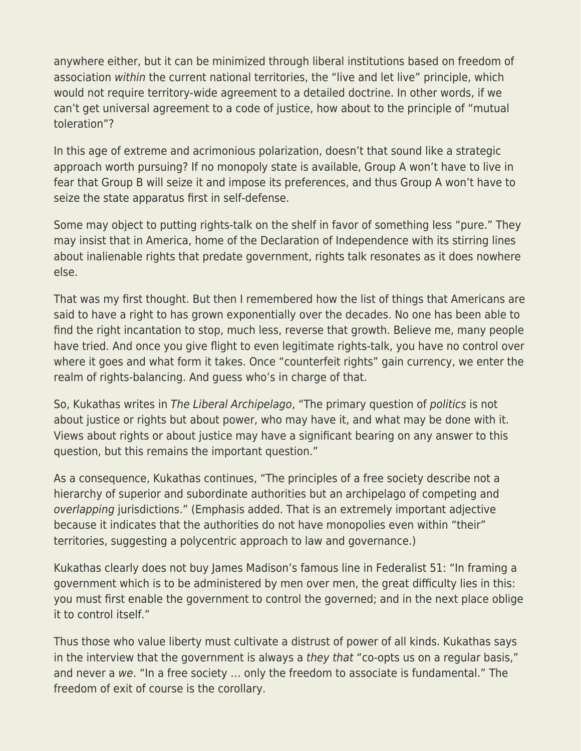anywhere either, but it can be minimized through liberal institutions based on freedom of association within the current national territories, the "live and let live" principle, which would not require territory-wide agreement to a detailed doctrine. In other words, if we can't get universal agreement to a code of justice, how about to the principle of "mutual toleration"?

In this age of extreme and acrimonious polarization, doesn't that sound like a strategic approach worth pursuing? If no monopoly state is available, Group A won't have to live in fear that Group B will seize it and impose its preferences, and thus Group A won't have to seize the state apparatus first in self-defense.

Some may object to putting rights-talk on the shelf in favor of something less "pure." They may insist that in America, home of the Declaration of Independence with its stirring lines about inalienable rights that predate government, rights talk resonates as it does nowhere else.

That was my first thought. But then I remembered how the list of things that Americans are said to have a right to has grown exponentially over the decades. No one has been able to find the right incantation to stop, much less, reverse that growth. Believe me, many people have tried. And once you give flight to even legitimate rights-talk, you have no control over where it goes and what form it takes. Once "counterfeit rights" gain currency, we enter the realm of rights-balancing. And guess who's in charge of that.

So, Kukathas writes in The Liberal Archipelago, "The primary question of politics is not about justice or rights but about power, who may have it, and what may be done with it. Views about rights or about justice may have a significant bearing on any answer to this question, but this remains the important question."

As a consequence, Kukathas continues, "The principles of a free society describe not a hierarchy of superior and subordinate authorities but an archipelago of competing and overlapping jurisdictions." (Emphasis added. That is an extremely important adjective because it indicates that the authorities do not have monopolies even within "their" territories, suggesting a polycentric approach to law and governance.)

Kukathas clearly does not buy James Madison's famous line in Federalist 51: "In framing a government which is to be administered by men over men, the great difficulty lies in this: you must first enable the government to control the governed; and in the next place oblige it to control itself."

Thus those who value liberty must cultivate a distrust of power of all kinds. Kukathas says in the interview that the government is always a they that "co-opts us on a regular basis," and never a we. "In a free society … only the freedom to associate is fundamental." The freedom of exit of course is the corollary.